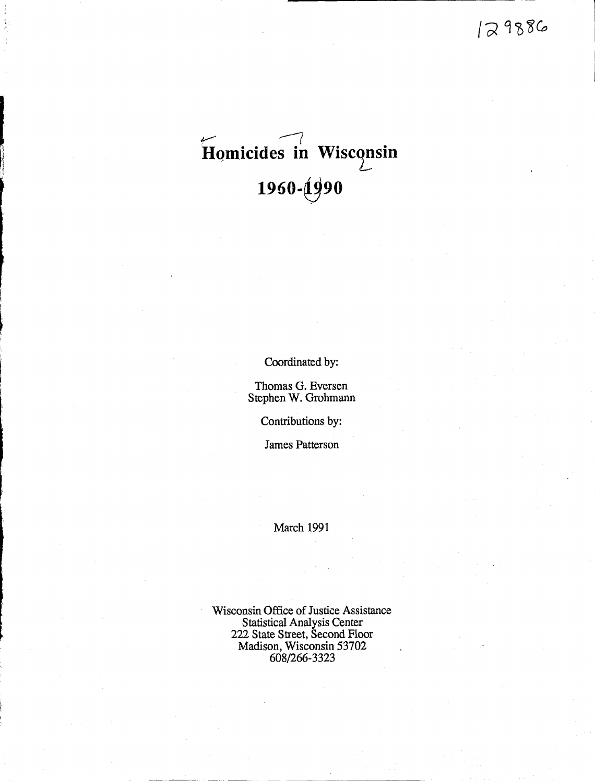# $\epsilon$  ... **Homicides in Wisconsin** 1990-(1990 -

Coordinated by:

Thomas G. Eversen Stephen W. Grohmann

Contributions by:

James Patterson

March 1991

Wisconsin Office of Justice Assistance Statistical Analysis Center 222 State Street, Second Floor Madison, Wisconsin 53702 608/266-3323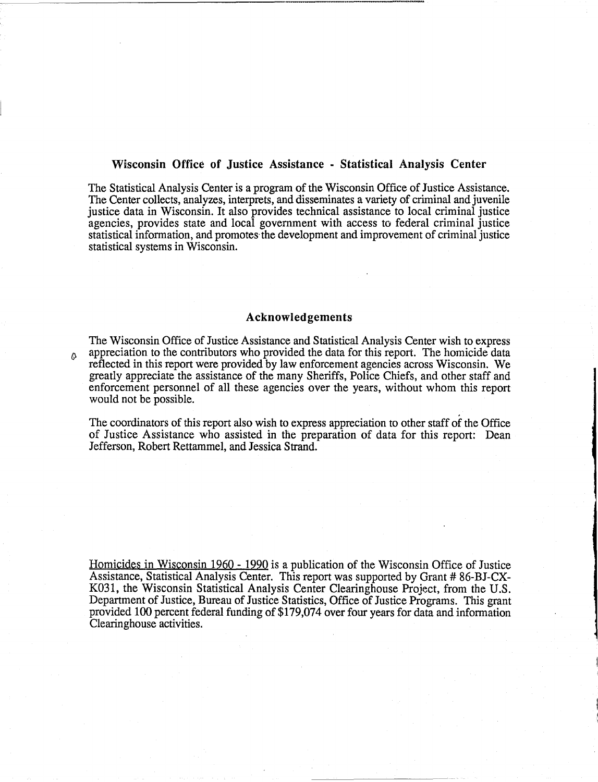#### Wisconsin Office of Justice Assistance • Statistical Analysis Center

The Statistical Analysis Center is a program of the Wisconsin Office of Justice Assistance. The Center collects, analyzes, interprets, and disseminates a variety of criminal and juvenile justice data in Wisconsin. It also provides technical assistance to local criminal justice agencies, provides state and local government with access to federal criminal justice statistical information, and promotes' the development and improvement of criminal justice statistical systems in Wisconsin.

#### Acknowledgements

The Wisconsin Office of Justice Assistance and Statistical Analysis Center wish to express  $\beta$  appreciation to the contributors who provided the data for this report. The homicide data reflected in this report were provided by law enforcement agencies across Wisconsin. We greatly appreciate the assistance of the many Sheriffs, Police Chiefs, and other staff and enforcement personnel of all these agencies over the years, without whom this report would not be possible.

The coordinators of this report also wish to express appreciation to other staff of the Office of Justice Assistance who assisted in the preparation of data for this report: Dean Jefferson, Robert Rettammel, and Jessica Strand.

Homicides in Wisconsin 1960 - 1990 is a publication of the Wisconsin Office of Justice Assistance, Statistical Analysis Center. This report was supported by Grant # 86-BJ-CX-K031, the Wisconsin Statistical Analysis Center Clearinghouse Project, from the U.S. Department of Justice, Bureau of Justice Statistics, Office of Justice Programs. This grant provided 100 percent federal funding of \$179,074 over four years for data and information Clearinghouse activities.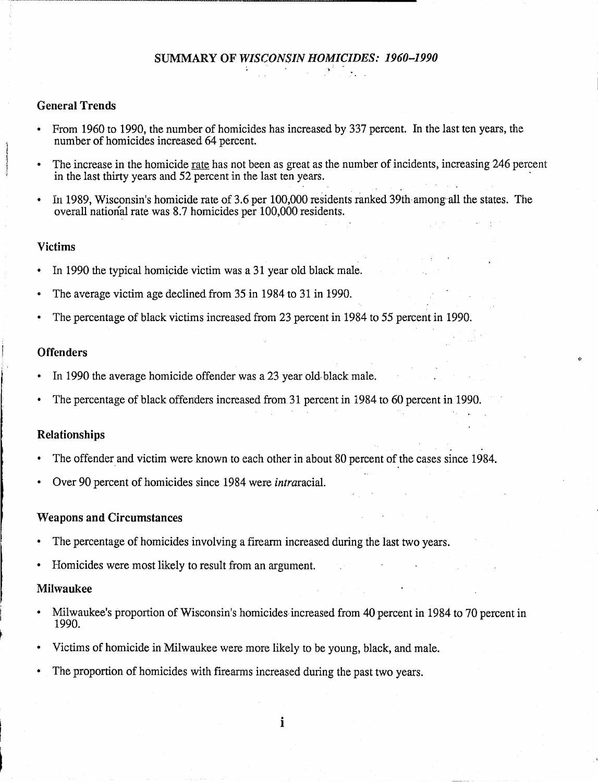### General Trends

- From 1960 to 1990, the number of homicides has increased by 337 percent. In the last ten years, the number of homicides increased 64 percent.
- The increase in the homicide rate has not been as great as the number of incidents, increasing 246 percent in the last thirty years and 52 percent in the last ten years.
- In 1989, Wisconsin's homicide rate of 3.6 per 100,000 residents ranked 39th among all the states. The overall national rate was 8.7 homicides per 100,000 residents.

#### Victims

- In 1990 the typical homicide victim was a 31 year old black male.
- The average victim age declined from 35 in 1984 to 31 in 1990.
- The percentage of black victims increased from 23 percent in 1984 to 55 percent in 1990.

#### **Offenders**

- In 1990 the average homicide offender was a 23 year old black male.
- The percentage of black offenders increased from 31 percent in 1984 to 60 percent in 1990.

### Relationships

- The offender and victim were known to each other in about 80 percent of the cases since 1984.
- Over 90 percent of homicides since 1984 were *intraracial.*

#### Weapons and Circumstances

- The percentage of homicides involving a firearm increased during the last two years.
- Homicides were most likely to result from an argument.

#### Milwaukee

- Milwaukee's proportion of Wisconsin's homicides increased from 40 percent in 1984 to 70 percent in 1990.
- Victims of homicide in Milwaukee were more likely to be young, black, and male.
- The proportion of homicides with firearms increased during the past two years.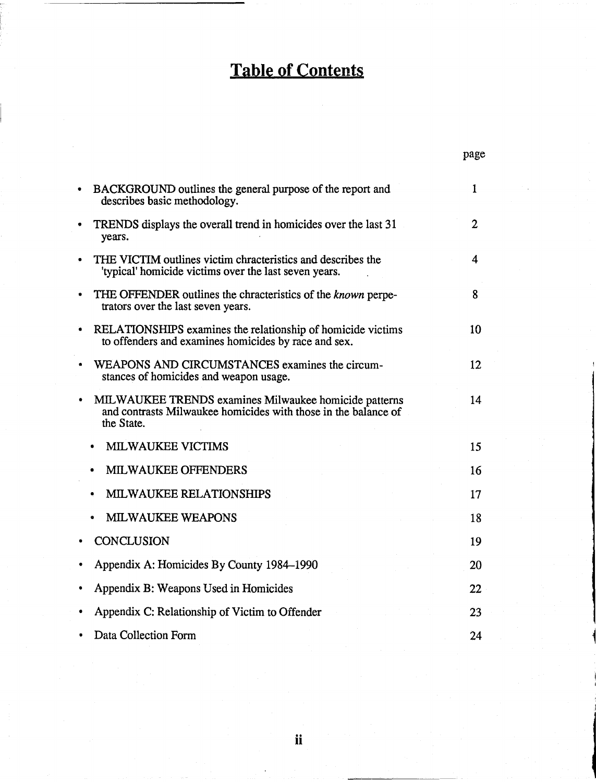### **Table of Contents**

|           |                                                                                                                                       | page         |
|-----------|---------------------------------------------------------------------------------------------------------------------------------------|--------------|
|           | BACKGROUND outlines the general purpose of the report and<br>describes basic methodology.                                             | $\mathbf{1}$ |
| $\bullet$ | TRENDS displays the overall trend in homicides over the last 31<br>years.                                                             | 2            |
|           | THE VICTIM outlines victim chracteristics and describes the<br>'typical' homicide victims over the last seven years.                  | 4            |
|           | THE OFFENDER outlines the chracteristics of the known perpe-<br>trators over the last seven years.                                    | 8            |
|           | RELATIONSHIPS examines the relationship of homicide victims<br>to offenders and examines homicides by race and sex.                   | 10           |
|           | WEAPONS AND CIRCUMSTANCES examines the circum-<br>stances of homicides and weapon usage.                                              | 12           |
|           | MILWAUKEE TRENDS examines Milwaukee homicide patterns<br>and contrasts Milwaukee homicides with those in the balance of<br>the State. | 14           |
|           | <b>MILWAUKEE VICTIMS</b>                                                                                                              | 15           |
|           | <b>MILWAUKEE OFFENDERS</b>                                                                                                            | 16           |
|           | <b>MILWAUKEE RELATIONSHIPS</b>                                                                                                        | 17           |
|           | <b>MILWAUKEE WEAPONS</b>                                                                                                              | 18           |
|           | <b>CONCLUSION</b>                                                                                                                     | 19           |
|           | Appendix A: Homicides By County 1984–1990                                                                                             | 20           |
|           | Appendix B: Weapons Used in Homicides                                                                                                 | 22           |
|           | Appendix C: Relationship of Victim to Offender                                                                                        | 23           |
|           | Data Collection Form                                                                                                                  | 24           |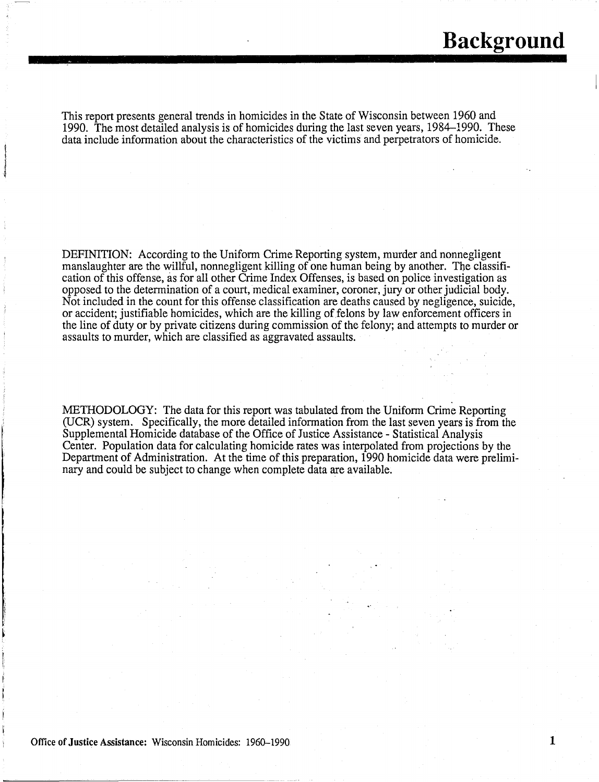This report presents general trends in homicides in the State of Wisconsin between 1960 and 1990. The most detailed analysis is of homicides during the last seven years, 1984-1990. These data include information about the characteristics of the victims and perpetrators of homicide.

DEFINITION: According to the Uniform Crime Reporting system, murder and nonnegligent manslaughter are the willful, nonnegligent killing of one human being by another. The classification of this offense, as for all other Crime Index Offenses, is based on police investigation as opposed to the determination of a court, medical examiner, coroner, jury or other judicial body. Not included in the count for this offense classification are deaths caused by negligence, suicide, or accident; justifiable homicides, which are the killing of felons by law enforcement officers in the line of duty or by private citizens during commission of the felony; and attempts to murder or assaults to murder, which are classified as aggravated assaults.

METHODOLOGY: The data for this report was tabulated from the Uniform Crime Reporting (VCR) system. Specifically, the more detailed information from the last seven years is from the Supplemental Homicide database of the Office of Justice Assistance - Statistical Analysis Center. Population data for calculating homicide rates was interpolated from projections by the Department of Administration. At the time of this preparation, 1990 homicide data were preliminary and could be subject to change when complete data are available.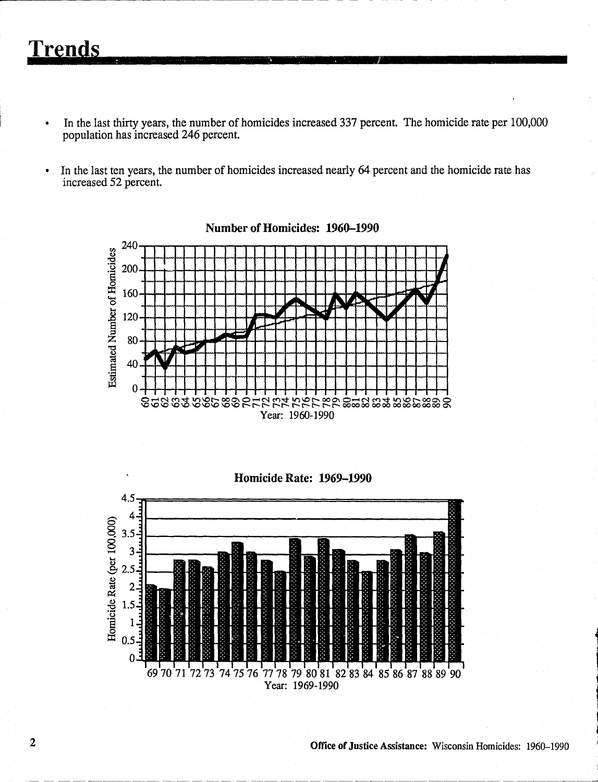## **Trends**

- In the last thirty years, the number of homicides increased 337 percent. The homicide rate per 100,000 population has increased 246 percent.
- In the last ten years, the number of homicides increased nearly 64 percent and the homicide rate has  $\bullet$ increased 52 percent.



**Homicide Rate: 1969-1990** 

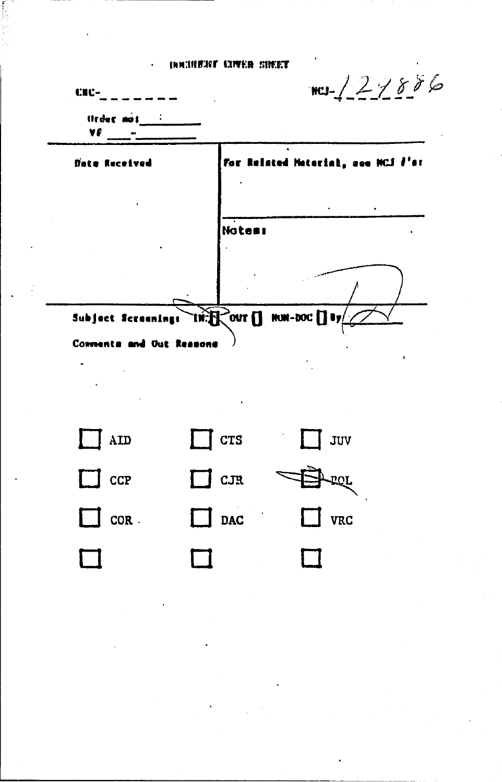#### **INNIBUST LIVER HIMST**

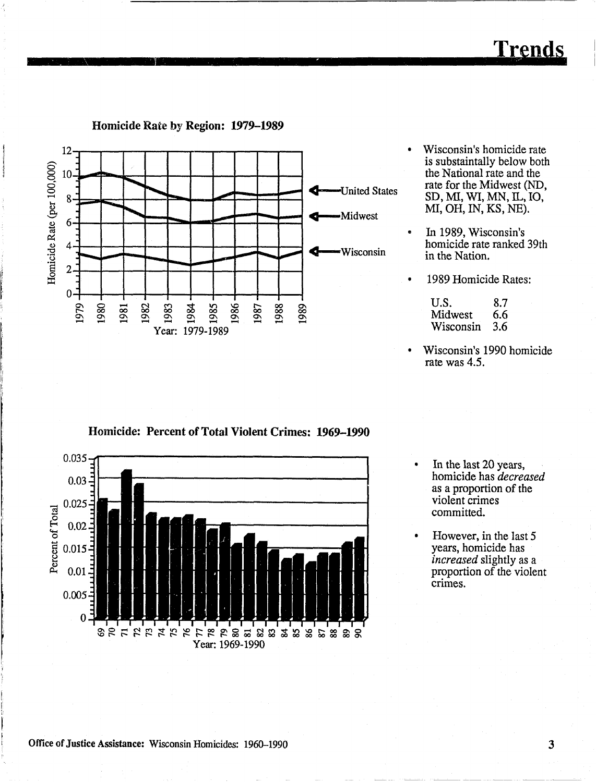$\overline{\mathbf{3}}$ 

**Trends** 



1985

1984

Year: 1979-1989

1986

1988

1989

1987

Homicide Rate by Region: 1979-1989

Homicide Rate (per 100,000)

 $6 -$ 

 $\overline{4}$ 

 $\overline{2}$ 

 $0 -$ 

1979

1980

1982

1981

1983



In 1989, Wisconsin's homicide rate ranked 39th in the Nation.

1989 Homicide Rates:

-Midwest

Wisconsin

đ.

| U.S.      | 8.7 |
|-----------|-----|
| Midwest   | 6.6 |
| Wisconsin | 3.6 |

- Wisconsin's 1990 homicide  $\bullet$ rate was 4.5.
- Homicide: Percent of Total Violent Crimes: 1969-1990
- 0.035  $0.03 0.025 -$ Percent of Total  $0.02$ 0.015  $0.01$  $0.005$  $\boldsymbol{0}$ ខុម ដុងដែងសង្គាំងខ្នង និងនិងនិងនិង Year: 1969-1990
- In the last 20 years, homicide has *decreased* as a proportion of the violent crimes committed.
- However, in the last 5 years, homicide has *increased* slightly as a proportion of the violent crimes.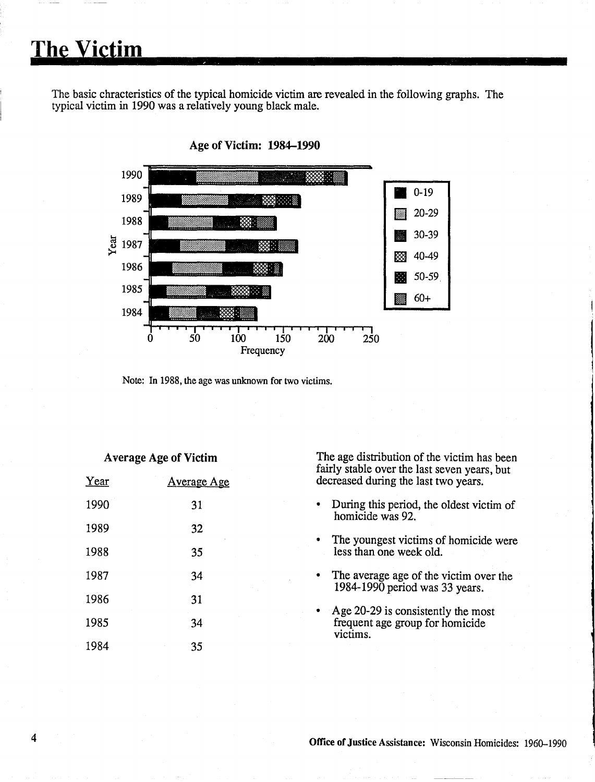# **The victim**

The basic chracteristics of the typical homicide victim are revealed in the following graphs. The typical victim in 1990 was a relatively young black male.



Age of Victim: 1984-1990

Note: In 1988, the age was unknown for two victims.

#### Average Age of Victim

| Year | <u>Average Age</u> |
|------|--------------------|
| 1990 | 31                 |
| 1989 | 32                 |
| 1988 | 35                 |
| 1987 | 34                 |
| 1986 | 31                 |
| 1985 | 34                 |
| 1984 | 35                 |

The age distribution of the victim has been fairly stable over the last seven years, but decreased during the last two years.

- During this period, the oldest victim of homicide was 92.
- The youngest victims of homicide were less than one week old.
- The average age of the victim over the 1984-1990 period was 33 years.
- Age 20-29 is consistently the most frequent age group for homicide victims.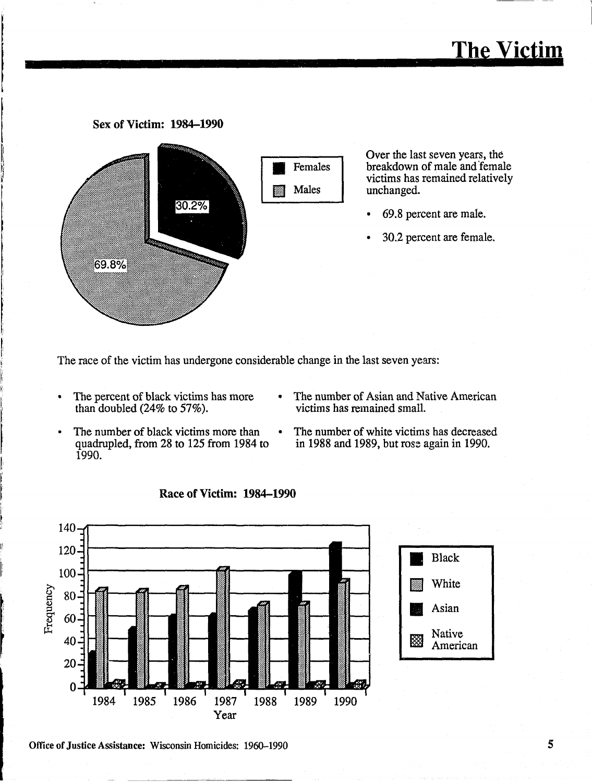### Sex of Victim: 1984-1990



Over the last seven years, the breakdown of male and female victims has remained relatively unchanged.

- 69.8 percent are male.
- 30.2 percent are female.

The race of the victim has undergone considerable change in the last seven years:

- The percent of black victims has more than doubled  $(24\%$  to 57%).
- The number of Asian and Native American victims has remained small.
- The number of black victims more than quadrupled, from 28 to 125 from 1984 to 1990.
- The number of white victims has decreased in 1988 and 1989, but rose again in 1990.



Race of Victim: 1984-1990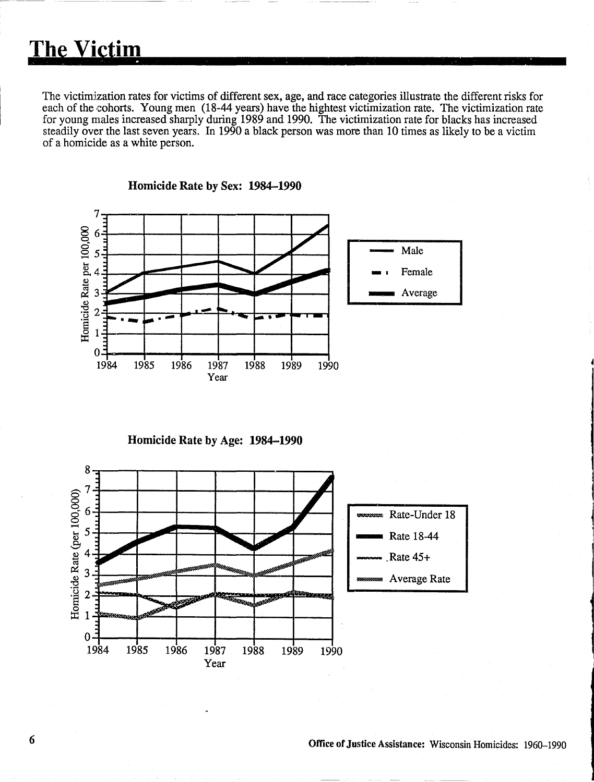The victimization rates for victims of different sex, age, and race categories illustrate the different risks for each of the cohorts. Young men (18-44 years) have the hightest victimization rate. The victimization rate for young males increased sharply during 1989 and 1990. The victimization rate for blacks has increased steadily over the last seven years. In 1990 a black person was more than 10 times as likely to be a victim of a homicide as a white person.



Homicide Rate by Sex: 1984-1990

Homicide Rate by Age: 1984-1990

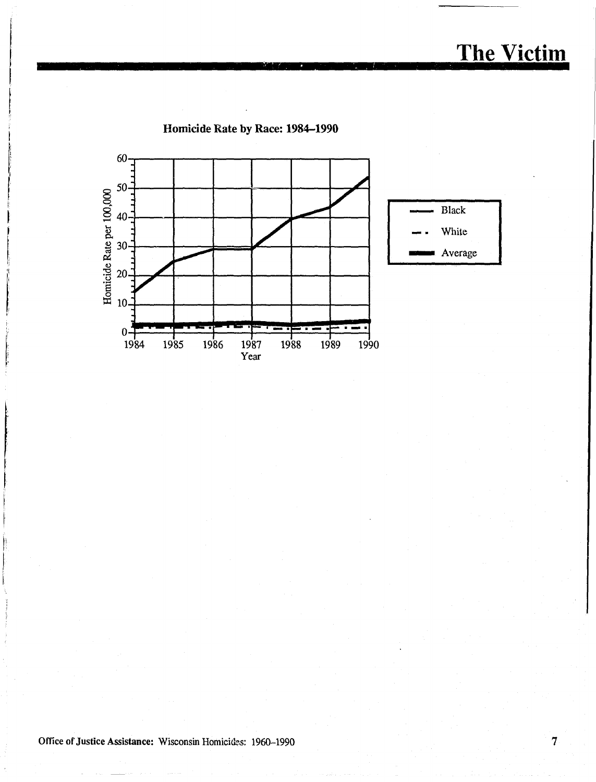## **The Victim**

Homicide Rate by Race: 1984-1990

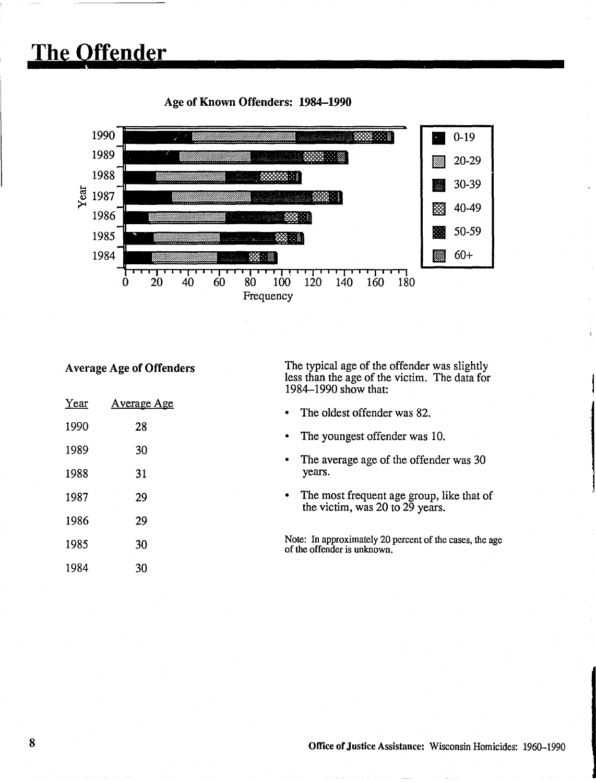### **The offender**

#### • 0-19 II) 20-29 1990 **START COMPANY** 33 1989 1988 怒言 30-39 <sup>~</sup>1987 333 3 **III** 40-49 1986 缀出 III SO-59 1985 88 C. 1984  $\blacksquare$  60+ 88 . . . 88  $\dot{0}$  $20$  $40$ 100  $120$ 60  $80<sup>°</sup>$  $140$ 160 180 Frequency

### Age of Known Offenders: 1984-1990

### Average Age of Offenders

 $Y_{\text{max}}$  Assembly Age

The typical age of the offender was slightly less than the age of the victim. The data for 1984-1990 show that:

| real | Average Age | The oldest offender was 82.<br>$\bullet$                                                  |
|------|-------------|-------------------------------------------------------------------------------------------|
| 1990 | 28          | The youngest offender was 10.                                                             |
| 1989 | 30          | The average age of the offender was 30<br>٠                                               |
| 1988 | 31          | years.                                                                                    |
| 1987 | 29          | The most frequent age group, like that of<br>$\bullet$<br>the victim, was 20 to 29 years. |
| 1986 | 29          |                                                                                           |
| 1985 | 30          | Note: In approximately 20 percent of the cases, the age<br>of the offender is unknown.    |
| 1984 | 30          |                                                                                           |
|      |             |                                                                                           |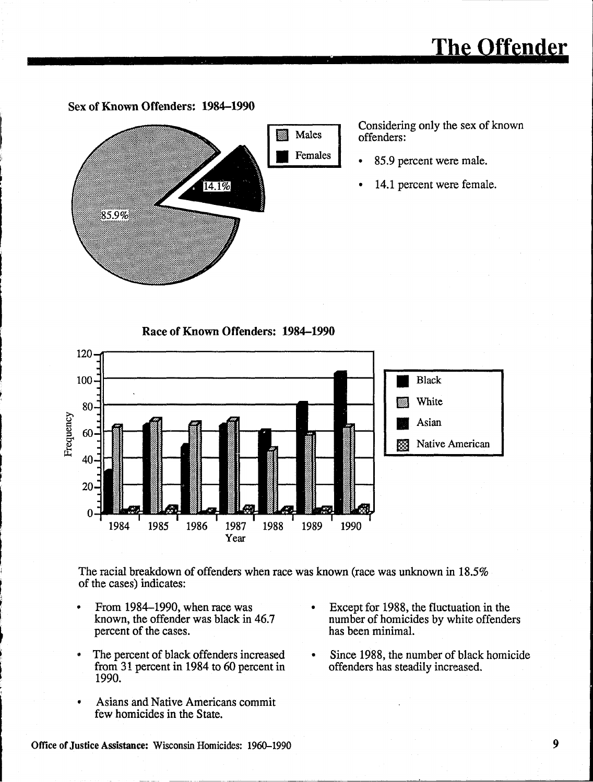# **The offender**

Sex of Known Offenders: 1984-1990



Considering only the sex of known offenders:

- 85.9 percent were male.
- 14.1 percent were female.

Race of Known Offenders: 1984-1990



The racial breakdown of offenders when race was known (race was unknown in 18.5% of the cases) indicates:

- From 1984-1990, when race was known, the offender was black in 46.7 percent of the cases.
- .. The percent of black offenders increased from 31 percent in 1984 to 60 percent in 1990.
- Asians and Native Americans commit few homicides in the State.
- Except for 1988, the fluctuation in the number of homicides by white offenders has been minimal.
- Since 1988, the number of black homicide offenders has steadily increased.

\_\_\_\_ ----~~-~~~~-~-~-~----'--------------II

Office of Justice Assistance: Wisconsin Homicides: 1960–1990 9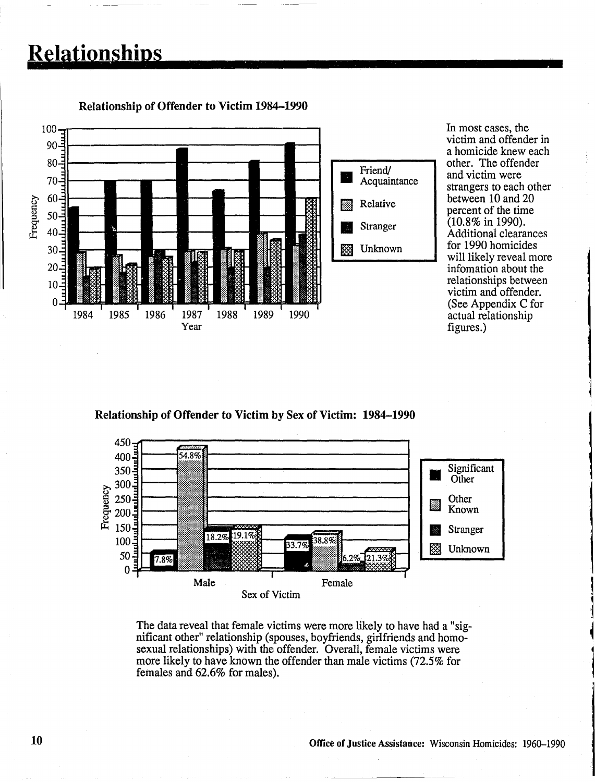### **Relationships =**



Relationship of Offender to Victim 1984-1990

In most cases, the victim and offender in a homicide knew each other. The offender and victim were strangers to each other between 10 and 20 percent of the time  $(10.8\% \text{ in } 1990).$ Additional clearances for 1990 homicides will likely reveal more infomation about the relationships between victim and offender. (See Appendix C for actual relationship figures.)

Relationship of Offender to Victim by Sex of Victim: 1984-1990



The data reveal that female victims were more likely to have had a "significant other" relationship (spouses, boyfriends, girlfriends and homosexual relationships) with the offender. Overall, female victims were more likely to have known the offender than male victims (72.5% for females and 62.6% for males).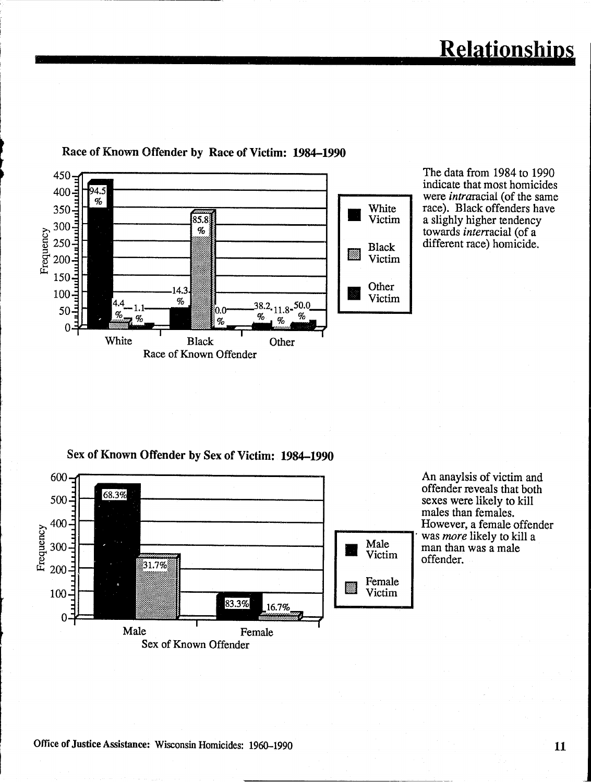

The data from 1984 to 1990 indicate that most homicides were *intraracial* (of the same race). Black offenders have a slighly higher tendency towards *interracial* (of a different race) homicide.

**Relationships** 

Sex of Known Offender by Sex of Victim: **1984-1990** 



An anaylsis of victim and offender reveals that both sexes were likely to kill males than females. However, a female offender . was *more* likely to kill a man than was a male offender.

I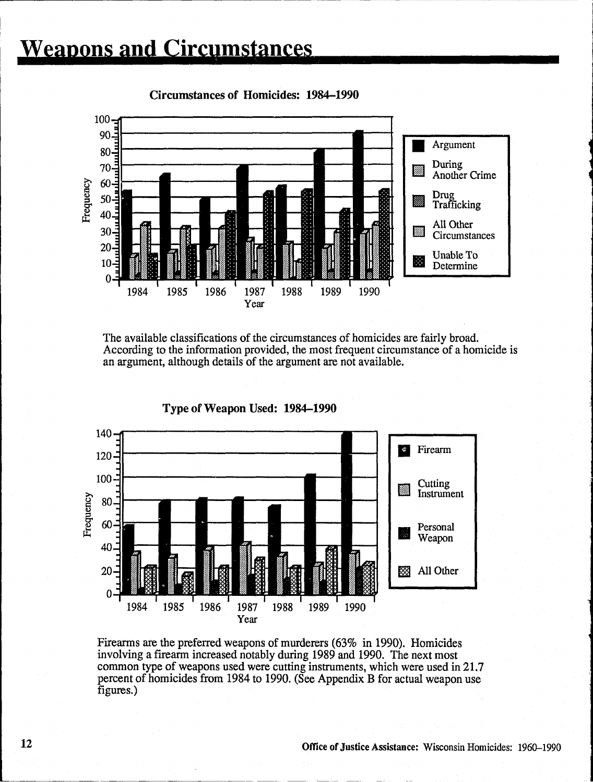## **weapons and circumstances**



Circumstances of Homicides: 1984-1990

The available classifications of the circumstances of homicides are fairly broad. According to the information provided, the most frequent circumstance of a homicide is an argument, although details of the argument are not available.



Type of Weapon Used: 1984-1990

Firearms are the preferred weapons of murderers (63% in 1990). Homicides involving a firearm increased notably during 1989 and 1990. The next most common type of weapons used were cutting instruments, which were used in 21.7 percent of homicides from 1984 to 1990. (See Appendix B for actual weapon use figures.)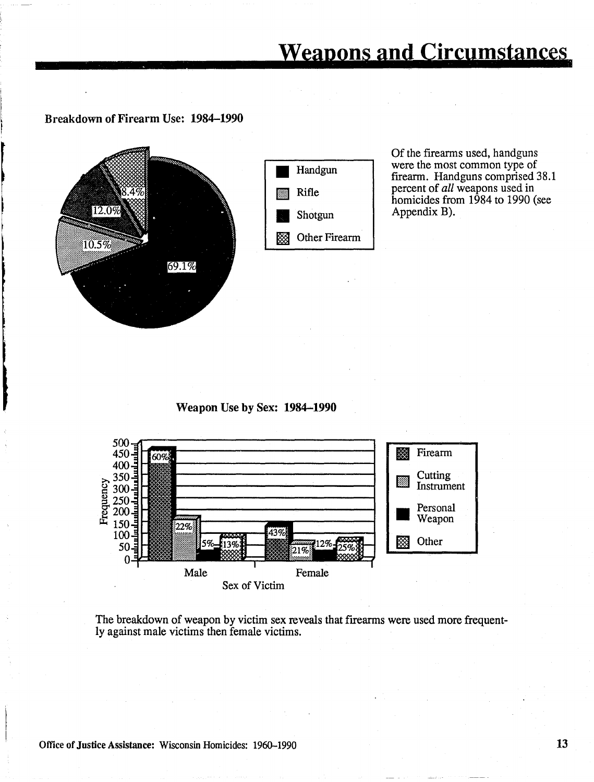### **weapons and circumstances**

Breakdown of Firearm Use: 1984-1990



Of the firearms used, handguns were the most common type of firearm. Handguns comprised 38.1 percent of *all* weapons used in homicides from 1984 to 1990 (see Appendix B).

Weapon Use by Sex: 1984-1990



The breakdown of weapon by victim sex reveals that firearms were used more frequently against male victims then female victims.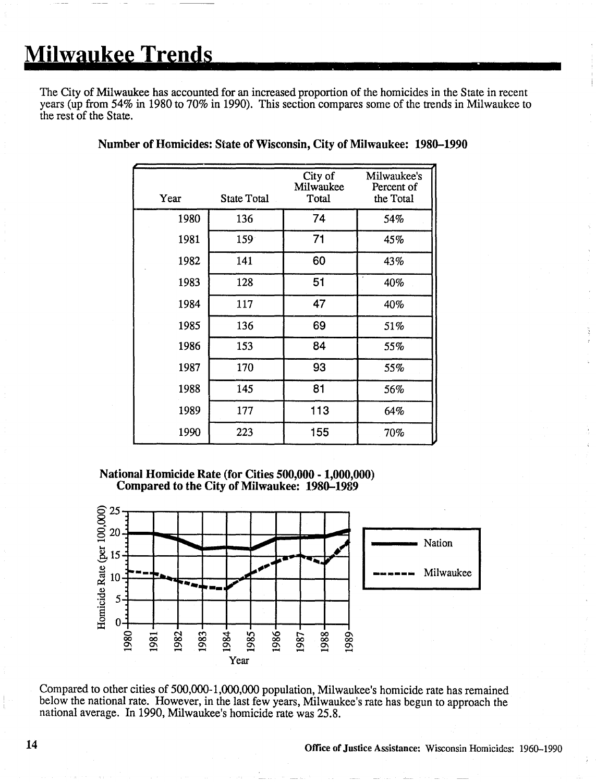## **Milwaukee Trends**

The City of Milwaukee has accounted for an increased proportion of the homicides in the State in recent years (up from 54% in 1980 to 70% in 1990). This section compares some of the trends in Milwaukee to the rest of the State.

| Year | <b>State Total</b> | City of<br>Milwaukee<br>Total | Milwaukee's<br>Percent of<br>the Total |
|------|--------------------|-------------------------------|----------------------------------------|
| 1980 | 136                | 74                            | 54%                                    |
| 1981 | 159                | 71                            | 45%                                    |
| 1982 | 141                | 60                            | 43%                                    |
| 1983 | 128                | 51                            | 40%                                    |
| 1984 | 117                | 47                            | 40%                                    |
| 1985 | 136                | 69                            | 51%                                    |
| 1986 | 153                | 84                            | 55%                                    |
| 1987 | 170                | 93                            | 55%                                    |
| 1988 | 145                | 81                            | 56%                                    |
| 1989 | 177                | 113                           | 64%                                    |
| 1990 | 223                | 155                           | 70%                                    |

### Number of Homicides: State of Wisconsin, City of Milwaukee: 1980-1990

National Homicide Rate (for Cities 500,000 .1,000,000) Compared to the City of Milwaukee: 1980-1989



Compared to other cities of 500,000-1,000,000 population, Milwaukee's homicide rate has remained below the national rate. However, in the last few years, Milwaukee's rate has begun to approach the national average. In 1990, Milwaukee's homicide rate was 25.8.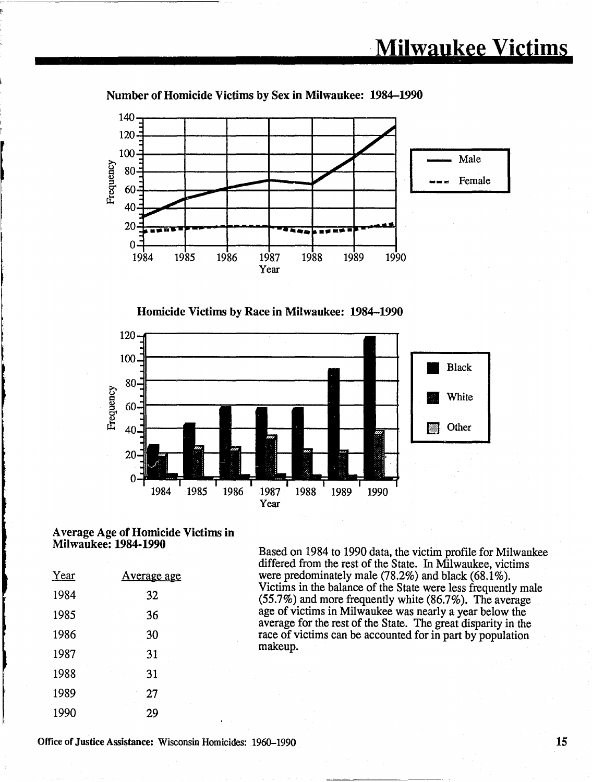

### Number of Homicide Victims by Sex in Milwaukee: 1984-1990





### A verage Age of Homicide Victims in

| Year | <u>Average age</u> |
|------|--------------------|
| 1984 | 32                 |
| 1985 | 36                 |
| 1986 | 30                 |
| 1987 | 31                 |
| 1988 | 31                 |
| 1989 | 27                 |
| 1990 | 29                 |

Based on 1984 to 1990 data, the victim profile for Milwaukee differed from the rest of the State. In Milwaukee, victims were predominately male  $(78.2\%)$  and black  $(68.1\%)$ . Victims in the balance of the State were less frequently male (55.7%) and more frequently white (86.7%). The average age of victims in Milwaukee was nearly a year below the average for the rest of the State. The great disparity in the race of victims can be accounted for in part by population makeup.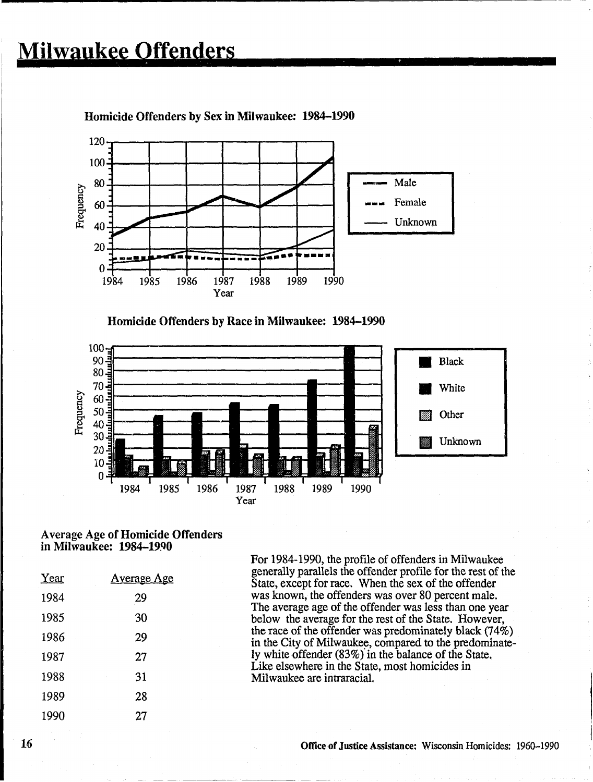

Homicide Offenders by Sex in Milwaukee: 1984-1990

Homicide Offenders by Race in Milwaukee: 1984-1990



#### Average Age of Homicide Offenders in Milwaukee: 1984-1990

| Year | <u>Average Age</u> |
|------|--------------------|
| 1984 | 29                 |
| 1985 | 30                 |
| 1986 | 29                 |
| 1987 | 27                 |
| 1988 | 31                 |
| 1989 | 28                 |
| 1990 | 27                 |

For 1984-1990, the profile of offenders in Milwaukee generally parallels the offender profile for the rest of the State, except for race. When the sex of the offender was known, the offenders was over 80 percent male. The average age of the offender was less than one year below the average for the rest of the State. However, the race of the offender was predominately black (74%) in the City of Milwaukee, compared to the predominately white offender (83%) in the balance of the State. Like elsewhere in the State, most homicides in Milwaukee are intraracial.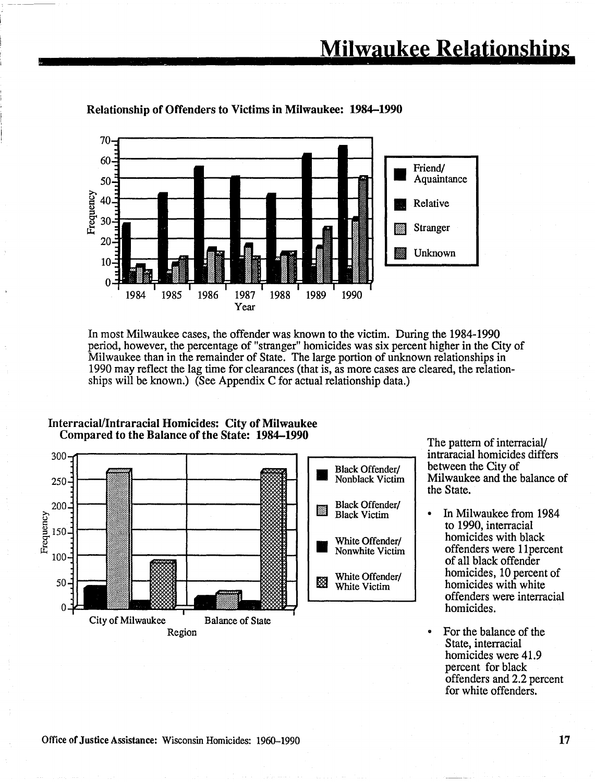

### **Relationship of Offenders to Victims in Milwaukee: 1984-1990**

In most Milwaukee cases, the offender was known to the victim. During the 1984-1990 period, however, the percentage of "stranger" homicides was six percent higher in the City of Milwaukee than in the remainder of State. The large portion of unknown relationships in 1990 may reflect the lag time for clearances (that is, as more cases are cleared, the relationships will be known.) (See Appendix C for actual relationship data.)



**InterraciaIllntraracial Homicides: City of Milwaukee Compared to the Balance of the State: 1984–1990** The pattern of interracial/

intraracial homicides differs between the City of Milwaukee and the balance of the State.

- In Milwaukee from 1984 to 1990, interracial homicides with black offenders were 11percent of all black offender homicides, 10 percent of homicides with white offenders were interracial homicides.
- For the balance of the State, interracial homicides were 41.9 percent for black offenders and 2.2 percent for white offenders.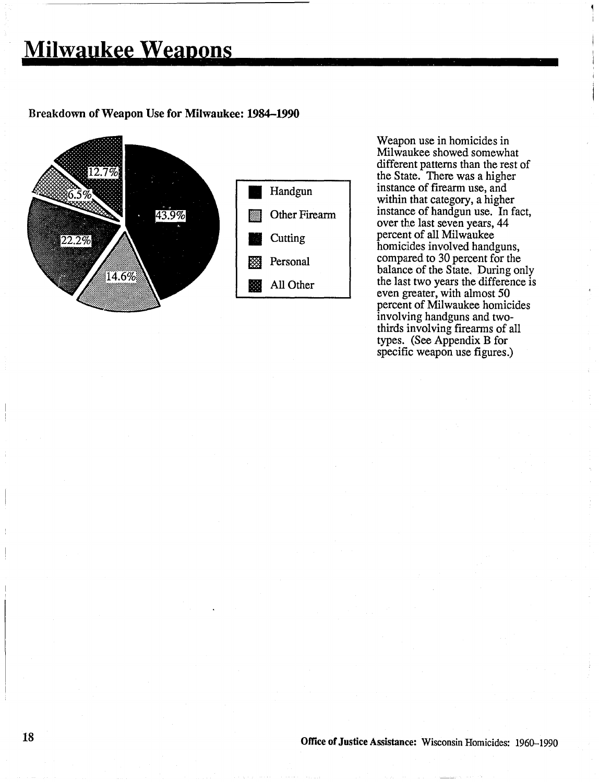### Breakdown of Weapon Use for Milwaukee: 1984-1990



Weapon use in homicides in Milwaukee showed somewhat different patterns than the rest of the State. There was a higher instance of firearm use, and within that category, a higher instance of handgun use. In fact, over the last seven years, 44 percent of all Milwaukee homicides involved handguns, compared to 30 percent for the balance of the State. During only the last two years the difference is even greater, with almost 50 percent of Milwaukee homicides involving handguns and twothirds involving firearms of all types. (See Appendix B for specific weapon use figures.)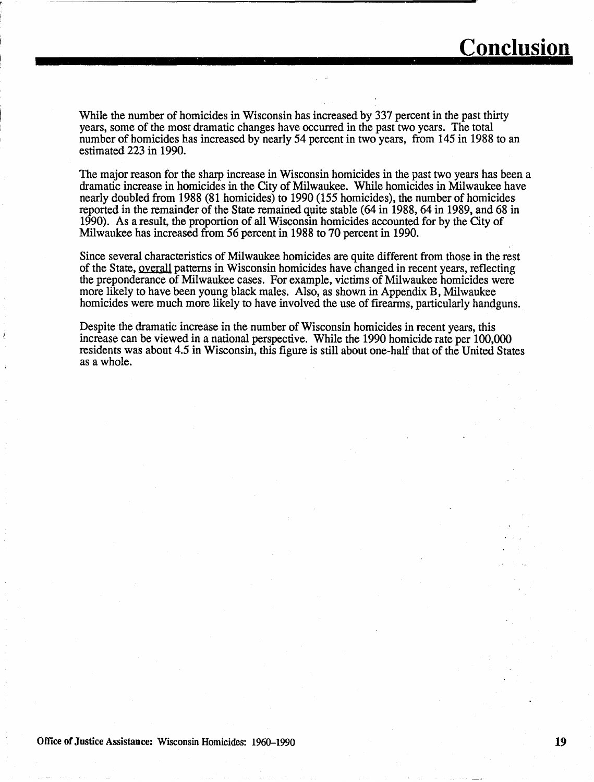While the number of homicides in Wisconsin has increased by 337 percent in the past thirty years, some of the most dramatic changes have occurred in the past two years. The total number of homicides has increased by nearly 54 percent in two years, from 145 in 1988 to an estimated 223 in 1990.

The major reason for the sharp increase in Wisconsin homicides in the past two years has been a dramatic increase in homicides in the City of Milwaukee. While homicides in Milwaukee have nearly doubled from 1988 (81 homicides) to 1990 (155 homicides), the number of homicides reported in the remainder of the State remained quite stable (64 in 1988, 64 in 1989, and 68 in 1990). As a result, the proportion of all Wisconsin homicides accounted for by the City of Milwaukee has increased from 56 percent in 1988 to 70 percent in 1990.

Since several characteristics of Milwaukee homicides are quite different from those in the rest of the State, overall patterns in Wisconsin homicides have changed in recent years, reflecting the preponderance of Milwaukee cases. For example, victims of Milwaukee homicides were more likely to have been young black males. Also, as shown in Appendix B, Milwaukee homicides were much more likely to have involved the use of firearms, particularly handguns.

Despite the dramatic increase in the number of Wisconsin homicides in recent years, this increase can be viewed in a national perspective. While the 1990 homicide rate per 100,000 residents was about 4.5 in Wisconsin, this figure is still about one-half that of the United States as a whole.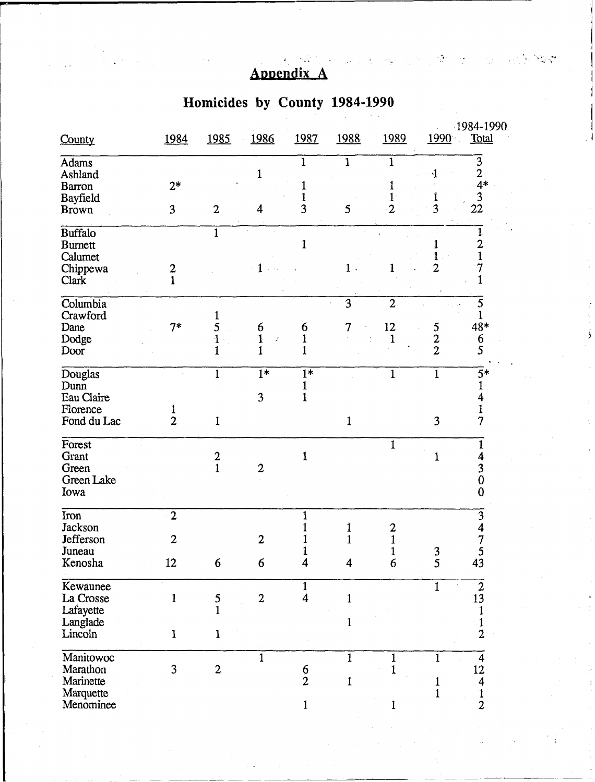### Appendix A

**r** ---- - <sup>j</sup>

### **Homicides by County 1984-1990**

| County                                                       | 1984                | 1985           | 1986                             | 1987                   | 1988           | 1989               | 1990                                               | 1984-1990<br>Total        |  |  |
|--------------------------------------------------------------|---------------------|----------------|----------------------------------|------------------------|----------------|--------------------|----------------------------------------------------|---------------------------|--|--|
| <b>Adams</b><br>Ashland<br><b>Barron</b>                     | $2*$                |                | 1                                | $\mathbf 1$            | $\mathbf{1}$   | 1                  |                                                    | 3<br>2<br>$4*$            |  |  |
| Bayfield<br><b>Brown</b>                                     | 3 <sup>1</sup>      | $\overline{2}$ | 4                                | 3                      | 5              | $\overline{2}$     | 3                                                  | 3<br>22                   |  |  |
| <b>Buffalo</b><br><b>Burnett</b><br>Calumet                  |                     | $\mathbf{1}$   |                                  | 1                      |                |                    |                                                    | 2                         |  |  |
| Chippewa<br>Clark                                            | 2                   |                |                                  |                        | $1$ .          | 1                  | 2                                                  |                           |  |  |
| Columbia<br>Crawford                                         |                     |                |                                  |                        | 3              | $\overline{2}$     |                                                    | 5                         |  |  |
| Dane<br>Dodge<br>Door                                        | $7*$                | 5<br>1         | 6                                | 6<br>$\mathbf{1}$<br>1 | 7              | 12<br>$\mathbf{1}$ | 5<br>$\boldsymbol{2}$<br>$\overline{2}$            | 48*<br>6<br>5             |  |  |
| Douglas<br>Dunn<br>Eau Claire                                |                     | $\mathbf{1}$   | $1*$<br>3                        | $\overline{1*}$<br>1   |                | $\mathbf{1}$       | $\mathbf{1}$                                       | $5*$                      |  |  |
| Florence<br>Fond du Lac                                      | 1<br>$\overline{2}$ | 1              |                                  |                        | 1              |                    | $\overline{\mathbf{3}}$                            | 7                         |  |  |
| Forest<br>Grant<br>Green<br>Green Lake<br>Iowa               |                     | $\frac{2}{1}$  | $\overline{2}$                   | $\mathbf 1$            |                | $\mathbf{1}$       | $\mathbf 1$                                        | 4<br>0<br>$\bf{0}$        |  |  |
| Iron<br><b>Jackson</b>                                       | $\overline{2}$      |                |                                  |                        |                | 2                  |                                                    | 3                         |  |  |
| Jefferson<br>Juneau<br>Kenosha                               | 2<br>12             | 6              | $\mathfrak{D}$<br>$6\phantom{1}$ | $\mathbf{1}$<br>4      | $\overline{4}$ | $\mathbf 1$<br>6   | $\overline{\mathbf{3}}$<br>$\overline{\mathbf{5}}$ | 5<br>43                   |  |  |
| Kewaunee<br>La Crosse<br>Lafayette                           | $\mathbf{1}$        | 5              | $\overline{2}$                   | 1<br>$\overline{4}$    | $\mathbf{1}$   |                    | $\mathbf{1}$                                       | $\overline{2}$<br>13      |  |  |
| Langlade<br>Lincoln                                          | $\mathbf{1}$        | $\mathbf{1}$   |                                  |                        | 1              |                    |                                                    | $\overline{2}$            |  |  |
| Manitowoc<br>Marathon<br>Marinette<br>Marquette<br>Menominee | 3                   | $\overline{2}$ | 1                                | $\frac{6}{2}$          | 1<br>1         |                    | $\mathbf{1}$                                       | 12<br>4<br>$\overline{2}$ |  |  |

'I

I

I ,., ... '.... .. ~"' .. l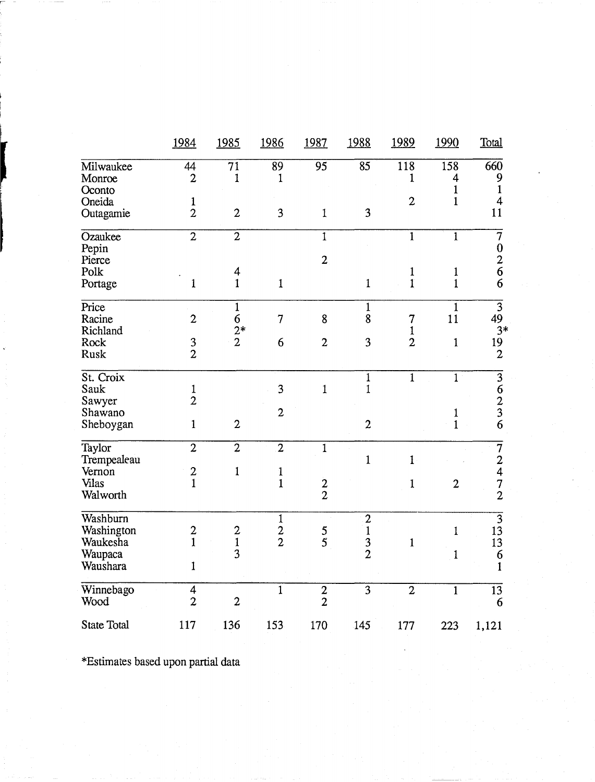|                                                           | 1984                             | 1985                                     | 1986                         | 1987            | 1988                                              | 1989                          | 1990                         | Total                                           |
|-----------------------------------------------------------|----------------------------------|------------------------------------------|------------------------------|-----------------|---------------------------------------------------|-------------------------------|------------------------------|-------------------------------------------------|
| Milwaukee<br>Monroe                                       | 44<br>$\overline{2}$             | $\overline{71}$<br>1                     | $\overline{89}$<br>1         | $\overline{95}$ | $\overline{85}$                                   | 118<br>$\mathbf{1}$           | 158<br>4                     | $\overline{660}$<br>9                           |
| Oconto<br>Oneida<br>Outagamie                             | $\mathbf{1}$<br>$\overline{2}$   | $\overline{c}$                           | 3                            | $\mathbf 1$     | 3                                                 | $\mathbf{2}$                  | $\mathbf{1}$<br>$\mathbf{1}$ | $\mathbf{1}$<br>$\overline{\mathbf{4}}$<br>11   |
| Ozaukee<br>Pepin                                          | $\overline{2}$                   | $\overline{2}$                           |                              | $\overline{1}$  |                                                   | $\mathbf{1}$                  | $\mathbf{1}$                 | $\overline{7}$<br>$\boldsymbol{0}$              |
| Pierce<br>Polk<br>Portage                                 | $\mathbf{1}$                     | 4<br>$\mathbf{1}$                        | $\mathbf{1}$                 | $\overline{2}$  | $\mathbf{1}$                                      | $\mathbf{1}$<br>$\mathbf{1}$  | $\mathbf{1}$<br>$\mathbf{1}$ | $\frac{2}{6}$<br>6                              |
| Price<br>Racine<br>Richland                               | $\overline{2}$                   | $\mathbf{1}$<br>$\boldsymbol{6}$<br>$2*$ | $\overline{7}$               | 8               | $\overline{1}$<br>8                               | $\overline{7}$<br>$\mathbf 1$ | $\overline{1}$<br>11         | $\overline{3}$<br>49<br>$3*$                    |
| Rock<br><b>Rusk</b>                                       | $\frac{3}{2}$                    | $\overline{2}$                           | 6                            | $\overline{2}$  | 3                                                 | $\overline{2}$                | $\mathbf{1}$                 | 19<br>$\boldsymbol{2}$                          |
| St. Croix<br>Sauk<br>Sawyer                               | $\mathbf{1}$<br>$\overline{2}$   |                                          | 3                            | $\mathbf{1}$    | $\mathbf{1}$<br>$\mathbf{1}$                      | $\mathbf{1}$                  | $\mathbf{1}$                 | $\overline{3}$<br>$\frac{6}{2}$                 |
| Shawano<br>Sheboygan                                      | $\mathbf{1}$                     | $\overline{2}$                           | $\overline{2}$               |                 | $\overline{c}$                                    |                               | 1<br>$\mathbf{1}$            | $\overline{6}$                                  |
| Taylor<br>Trempealeau<br>Vernon                           | $\overline{2}$                   | $\overline{2}$<br>$\mathbf{1}$           | $\overline{2}$               | $\overline{1}$  | $\mathbf{1}$                                      | $\mathbf{1}$                  |                              | $\begin{array}{c} 7 \\ 2 \\ 4 \end{array}$      |
| Vilas<br>Walworth                                         | $\frac{2}{1}$                    |                                          | $\frac{1}{1}$                | $\frac{2}{2}$   |                                                   | $\mathbf{1}$                  | $\overline{2}$               | $\frac{7}{2}$                                   |
| Washburn<br>Washington<br>Waukesha<br>Waupaca<br>Waushara | $\frac{2}{1}$<br>$\mathbf{1}$    | $\frac{2}{3}$                            | $\mathbf 1$<br>$\frac{2}{2}$ | $\frac{5}{5}$   | $\boldsymbol{2}$<br>$\mathbf{1}$<br>$\frac{3}{2}$ | $\mathbf{1}$                  | $\mathbf{1}$<br>$\mathbf{1}$ | $\overline{3}$<br>13<br>13<br>6<br>$\mathbf{1}$ |
| Winnebago<br>Wood                                         | $\overline{4}$<br>$\overline{2}$ | $\overline{2}$                           | $\overline{1}$               | $\frac{2}{2}$   | $\overline{3}$                                    | $\overline{2}$                | $\overline{1}$               | $\overline{13}$<br>6                            |
| <b>State Total</b>                                        | 117                              | 136                                      | 153                          | 170             | 145                                               | 177                           | 223                          | 1,121                                           |

\*Estimates based upon partial data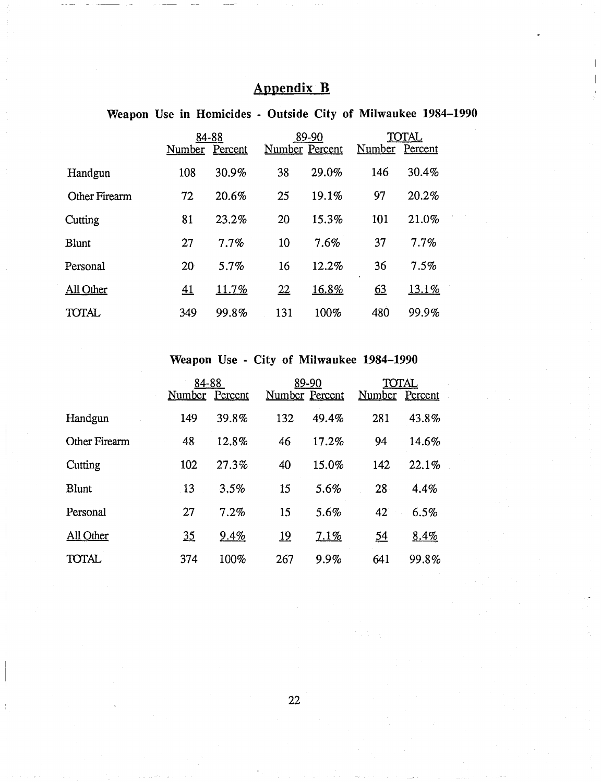### Appendix B

Weapon Use in Homicides - Outside City of Milwaukee 1984-1990

|                      | 84-88<br>Percent<br>Number |          |     | 89-90<br>Number Percent | TOTAL<br>Number<br>Percent |       |  |
|----------------------|----------------------------|----------|-----|-------------------------|----------------------------|-------|--|
| Handgun              | 108                        | 30.9%    | 38  | 29.0%                   | 146                        | 30.4% |  |
| <b>Other Firearm</b> | 72                         | 20.6%    | 25  | 19.1%                   | 97                         | 20.2% |  |
| Cutting              | 81                         | 23.2%    | 20  | 15.3%                   | 101                        | 21.0% |  |
| <b>Blunt</b>         | 27                         | 7.7%     | 10  | 7.6%                    | 37                         | 7.7%  |  |
| Personal             | 20                         | 5.7%     | 16  | 12.2%                   | 36<br>$\bullet$            | 7.5%  |  |
| All Other            | <u>41</u>                  | $11.7\%$ | 22  | 16.8%                   | 63                         | 13.1% |  |
| TOTAL                | 349                        | 99.8%    | 131 | 100%                    | 480                        | 99.9% |  |

### Weapon Use - City of Milwaukee 1984-1990

|               | 84-88<br>Number | Percent | Number Percent | 89-90 | TOTAL<br>Number Percent |       |
|---------------|-----------------|---------|----------------|-------|-------------------------|-------|
| Handgun       | 149             | 39.8%   | 132            | 49.4% | 281                     | 43.8% |
| Other Firearm | 48              | 12.8%   | 46             | 17.2% | 94                      | 14.6% |
| Cutting       | 102             | 27.3%   | 40             | 15.0% | 142                     | 22.1% |
| <b>Blunt</b>  | 13              | 3.5%    | 15             | 5.6%  | 28                      | 4.4%  |
| Personal      | 27              | 7.2%    | 15             | 5.6%  | 42                      | 6.5%  |
| All Other     | 35              | 9.4%    | <u>19</u>      | 7.1%  | <u>54</u>               | 8.4%  |
| <b>TOTAL</b>  | 374             | 100%    | 267            | 9.9%  | 641                     | 99.8% |

22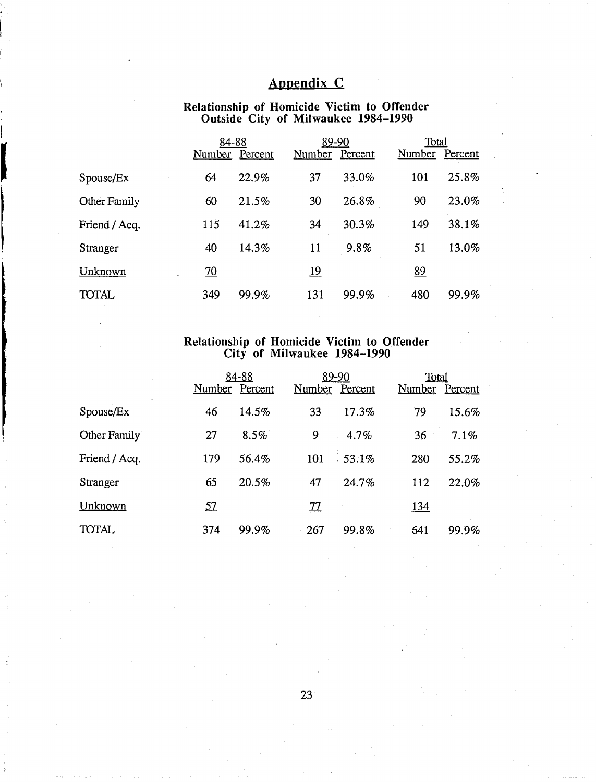### **Appendix C**

#### **Relationship of Homicide Victim to Offender**  <sup>I</sup>**Outside City of Milwaukee 1984-1990**

|               | 84-88<br>Number | Percent | 89-90<br>Number | Percent | Total<br><u>Number</u> | Percent |
|---------------|-----------------|---------|-----------------|---------|------------------------|---------|
| Spouse/Ex     | 64              | 22.9%   | 37              | 33.0%   | 101                    | 25.8%   |
| Other Family  | 60              | 21.5%   | 30              | 26.8%   | 90                     | 23.0%   |
| Friend / Acq. | 115             | 41.2%   | 34              | 30.3%   | 149                    | 38.1%   |
| Stranger      | 40              | 14.3%   | 11              | 9.8%    | 51                     | 13.0%   |
| Unknown       | $\overline{20}$ |         | <u> 19</u>      |         | 89                     |         |
| TOTAL         | 349             | 99.9%   | 131             | 99.9%   | 480                    | 99.9%   |

### **Relationship of Homicide Victim to Offender City of Milwaukee 1984-1.990**

|               |                | 84-88 | 89-90          |          | Total      |         |  |
|---------------|----------------|-------|----------------|----------|------------|---------|--|
|               | Number Percent |       | Number Percent |          | Number     | Percent |  |
| Spouse/Ex     | 46             | 14.5% | 33             | 17.3%    | 79         | 15.6%   |  |
| Other Family  | 27             | 8.5%  | 9              | 4.7%     | 36         | 7.1%    |  |
| Friend / Acq. | 179            | 56.4% | 101            | $-53.1%$ | 280        | 55.2%   |  |
| Stranger      | 65             | 20.5% | 47             | 24.7%    | 112        | 22.0%   |  |
| Unknown       | 57             |       | 77             |          | <u>134</u> |         |  |
| <b>TOTAL</b>  | 374            | 99.9% | 267            | 99.8%    | 641        | 99.9%   |  |

23